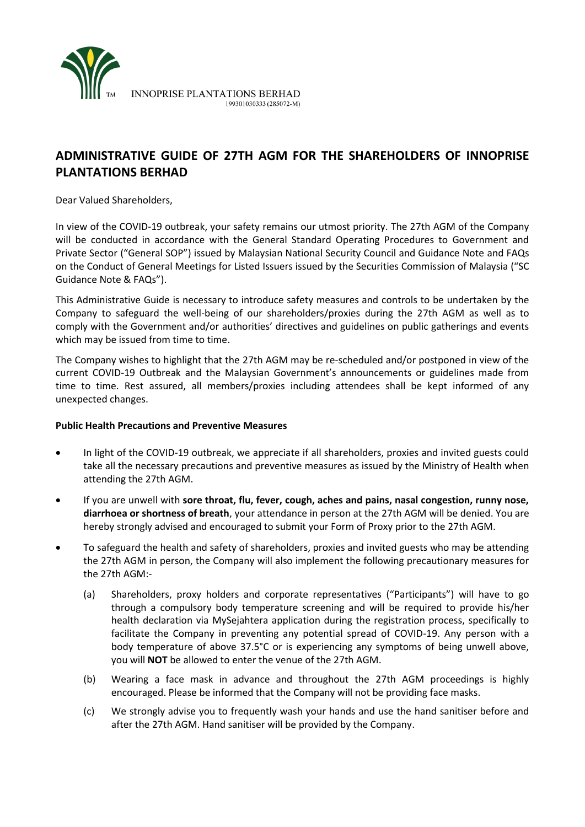

# **ADMINISTRATIVE GUIDE OF 27TH AGM FOR THE SHAREHOLDERS OF INNOPRISE PLANTATIONS BERHAD**

Dear Valued Shareholders,

In view of the COVID-19 outbreak, your safety remains our utmost priority. The 27th AGM of the Company will be conducted in accordance with the General Standard Operating Procedures to Government and Private Sector ("General SOP") issued by Malaysian National Security Council and Guidance Note and FAQs on the Conduct of General Meetings for Listed Issuers issued by the Securities Commission of Malaysia ("SC Guidance Note & FAQs").

This Administrative Guide is necessary to introduce safety measures and controls to be undertaken by the Company to safeguard the well-being of our shareholders/proxies during the 27th AGM as well as to comply with the Government and/or authorities' directives and guidelines on public gatherings and events which may be issued from time to time.

The Company wishes to highlight that the 27th AGM may be re-scheduled and/or postponed in view of the current COVID-19 Outbreak and the Malaysian Government's announcements or guidelines made from time to time. Rest assured, all members/proxies including attendees shall be kept informed of any unexpected changes.

### **Public Health Precautions and Preventive Measures**

- In light of the COVID-19 outbreak, we appreciate if all shareholders, proxies and invited guests could take all the necessary precautions and preventive measures as issued by the Ministry of Health when attending the 27th AGM.
- If you are unwell with **sore throat, flu, fever, cough, aches and pains, nasal congestion, runny nose, diarrhoea or shortness of breath**, your attendance in person at the 27th AGM will be denied. You are hereby strongly advised and encouraged to submit your Form of Proxy prior to the 27th AGM.
- To safeguard the health and safety of shareholders, proxies and invited guests who may be attending the 27th AGM in person, the Company will also implement the following precautionary measures for the 27th AGM:-
	- (a) Shareholders, proxy holders and corporate representatives ("Participants") will have to go through a compulsory body temperature screening and will be required to provide his/her health declaration via MySejahtera application during the registration process, specifically to facilitate the Company in preventing any potential spread of COVID-19. Any person with a body temperature of above 37.5°C or is experiencing any symptoms of being unwell above, you will **NOT** be allowed to enter the venue of the 27th AGM.
	- (b) Wearing a face mask in advance and throughout the 27th AGM proceedings is highly encouraged. Please be informed that the Company will not be providing face masks.
	- (c) We strongly advise you to frequently wash your hands and use the hand sanitiser before and after the 27th AGM. Hand sanitiser will be provided by the Company.